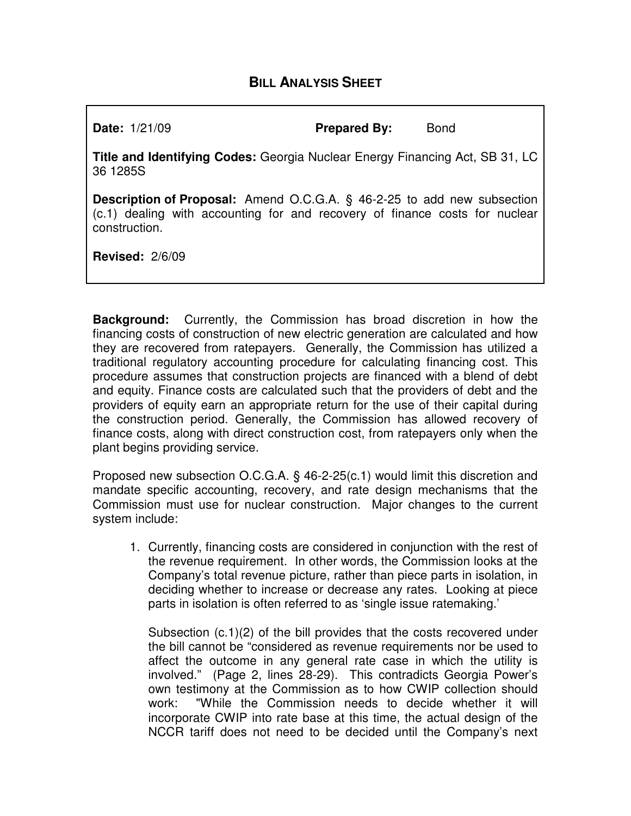# **BILL ANALYSIS SHEET**

**Date:** 1/21/09 **Prepared By:** Bond

**Title and Identifying Codes:** Georgia Nuclear Energy Financing Act, SB 31, LC 36 1285S

**Description of Proposal:** Amend O.C.G.A. § 46-2-25 to add new subsection (c.1) dealing with accounting for and recovery of finance costs for nuclear construction.

**Revised:** 2/6/09

**Background:** Currently, the Commission has broad discretion in how the financing costs of construction of new electric generation are calculated and how they are recovered from ratepayers. Generally, the Commission has utilized a traditional regulatory accounting procedure for calculating financing cost. This procedure assumes that construction projects are financed with a blend of debt and equity. Finance costs are calculated such that the providers of debt and the providers of equity earn an appropriate return for the use of their capital during the construction period. Generally, the Commission has allowed recovery of finance costs, along with direct construction cost, from ratepayers only when the plant begins providing service.

Proposed new subsection O.C.G.A. § 46-2-25(c.1) would limit this discretion and mandate specific accounting, recovery, and rate design mechanisms that the Commission must use for nuclear construction. Major changes to the current system include:

1. Currently, financing costs are considered in conjunction with the rest of the revenue requirement. In other words, the Commission looks at the Company's total revenue picture, rather than piece parts in isolation, in deciding whether to increase or decrease any rates. Looking at piece parts in isolation is often referred to as 'single issue ratemaking.'

Subsection (c.1)(2) of the bill provides that the costs recovered under the bill cannot be "considered as revenue requirements nor be used to affect the outcome in any general rate case in which the utility is involved." (Page 2, lines 28-29). This contradicts Georgia Power's own testimony at the Commission as to how CWIP collection should work: "While the Commission needs to decide whether it will incorporate CWIP into rate base at this time, the actual design of the NCCR tariff does not need to be decided until the Company's next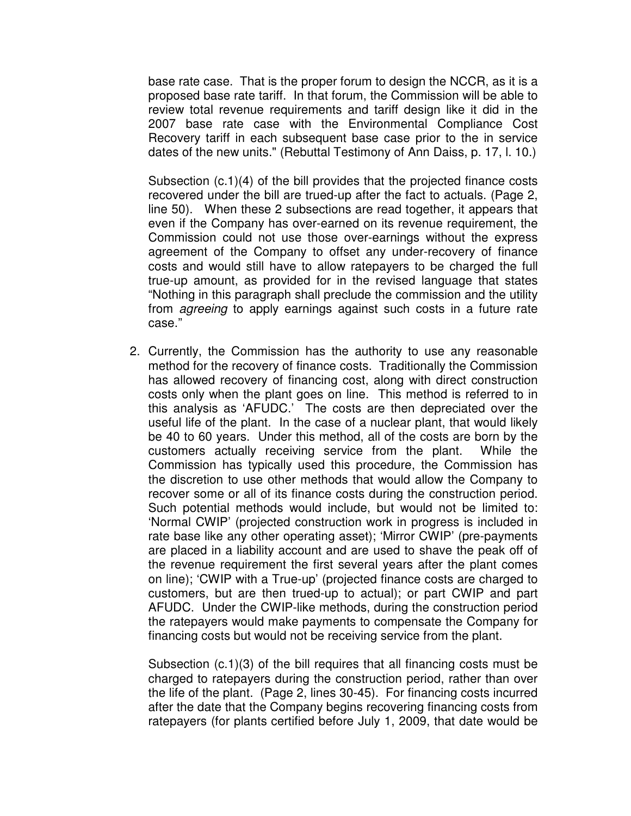base rate case. That is the proper forum to design the NCCR, as it is a proposed base rate tariff. In that forum, the Commission will be able to review total revenue requirements and tariff design like it did in the 2007 base rate case with the Environmental Compliance Cost Recovery tariff in each subsequent base case prior to the in service dates of the new units." (Rebuttal Testimony of Ann Daiss, p. 17, l. 10.)

Subsection (c.1)(4) of the bill provides that the projected finance costs recovered under the bill are trued-up after the fact to actuals. (Page 2, line 50). When these 2 subsections are read together, it appears that even if the Company has over-earned on its revenue requirement, the Commission could not use those over-earnings without the express agreement of the Company to offset any under-recovery of finance costs and would still have to allow ratepayers to be charged the full true-up amount, as provided for in the revised language that states "Nothing in this paragraph shall preclude the commission and the utility from agreeing to apply earnings against such costs in a future rate case."

2. Currently, the Commission has the authority to use any reasonable method for the recovery of finance costs. Traditionally the Commission has allowed recovery of financing cost, along with direct construction costs only when the plant goes on line. This method is referred to in this analysis as 'AFUDC.' The costs are then depreciated over the useful life of the plant. In the case of a nuclear plant, that would likely be 40 to 60 years. Under this method, all of the costs are born by the customers actually receiving service from the plant. While the Commission has typically used this procedure, the Commission has the discretion to use other methods that would allow the Company to recover some or all of its finance costs during the construction period. Such potential methods would include, but would not be limited to: 'Normal CWIP' (projected construction work in progress is included in rate base like any other operating asset); 'Mirror CWIP' (pre-payments are placed in a liability account and are used to shave the peak off of the revenue requirement the first several years after the plant comes on line); 'CWIP with a True-up' (projected finance costs are charged to customers, but are then trued-up to actual); or part CWIP and part AFUDC. Under the CWIP-like methods, during the construction period the ratepayers would make payments to compensate the Company for financing costs but would not be receiving service from the plant.

Subsection (c.1)(3) of the bill requires that all financing costs must be charged to ratepayers during the construction period, rather than over the life of the plant. (Page 2, lines 30-45). For financing costs incurred after the date that the Company begins recovering financing costs from ratepayers (for plants certified before July 1, 2009, that date would be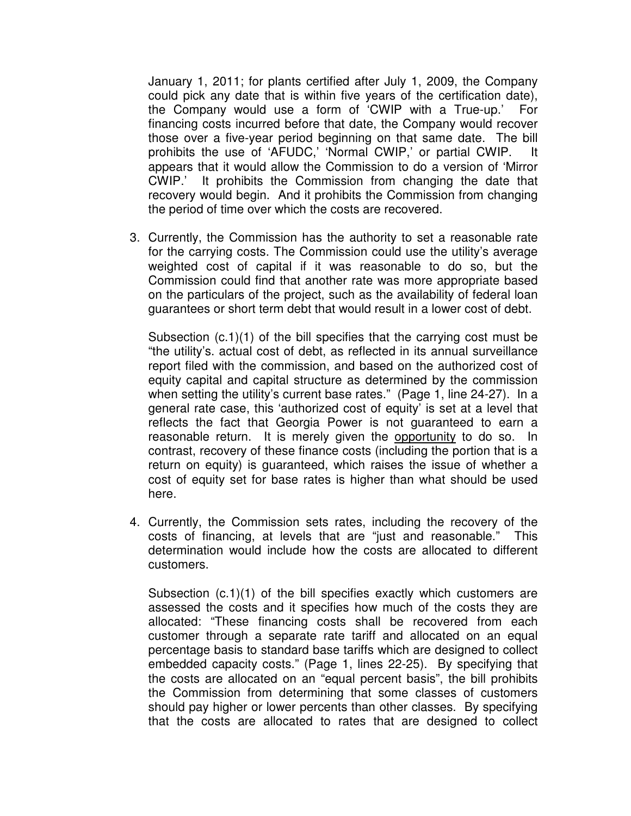January 1, 2011; for plants certified after July 1, 2009, the Company could pick any date that is within five years of the certification date), the Company would use a form of 'CWIP with a True-up.' For financing costs incurred before that date, the Company would recover those over a five-year period beginning on that same date. The bill prohibits the use of 'AFUDC,' 'Normal CWIP,' or partial CWIP. It appears that it would allow the Commission to do a version of 'Mirror CWIP.' It prohibits the Commission from changing the date that recovery would begin. And it prohibits the Commission from changing the period of time over which the costs are recovered.

3. Currently, the Commission has the authority to set a reasonable rate for the carrying costs. The Commission could use the utility's average weighted cost of capital if it was reasonable to do so, but the Commission could find that another rate was more appropriate based on the particulars of the project, such as the availability of federal loan guarantees or short term debt that would result in a lower cost of debt.

Subsection (c.1)(1) of the bill specifies that the carrying cost must be "the utility's. actual cost of debt, as reflected in its annual surveillance report filed with the commission, and based on the authorized cost of equity capital and capital structure as determined by the commission when setting the utility's current base rates." (Page 1, line 24-27). In a general rate case, this 'authorized cost of equity' is set at a level that reflects the fact that Georgia Power is not guaranteed to earn a reasonable return. It is merely given the opportunity to do so. In contrast, recovery of these finance costs (including the portion that is a return on equity) is guaranteed, which raises the issue of whether a cost of equity set for base rates is higher than what should be used here.

4. Currently, the Commission sets rates, including the recovery of the costs of financing, at levels that are "just and reasonable." This determination would include how the costs are allocated to different customers.

Subsection (c.1)(1) of the bill specifies exactly which customers are assessed the costs and it specifies how much of the costs they are allocated: "These financing costs shall be recovered from each customer through a separate rate tariff and allocated on an equal percentage basis to standard base tariffs which are designed to collect embedded capacity costs." (Page 1, lines 22-25). By specifying that the costs are allocated on an "equal percent basis", the bill prohibits the Commission from determining that some classes of customers should pay higher or lower percents than other classes. By specifying that the costs are allocated to rates that are designed to collect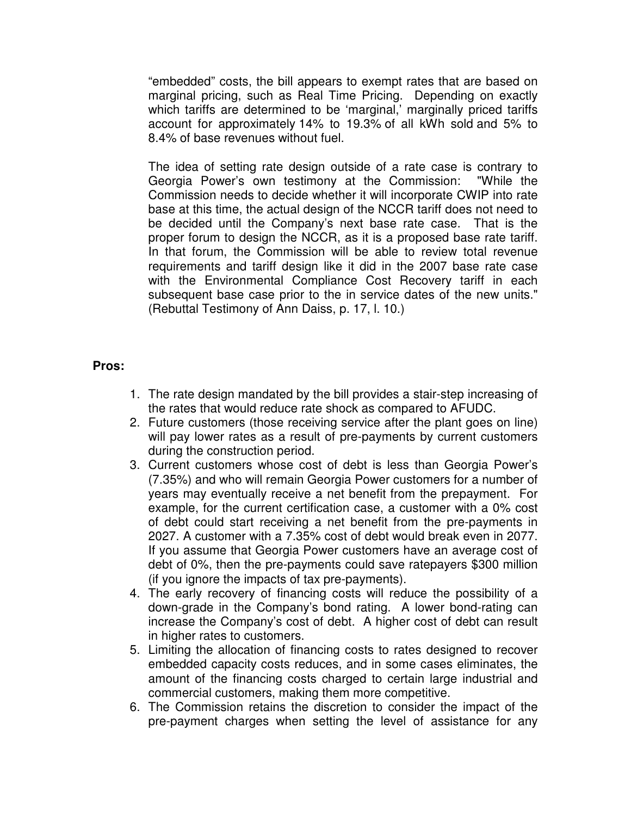"embedded" costs, the bill appears to exempt rates that are based on marginal pricing, such as Real Time Pricing. Depending on exactly which tariffs are determined to be 'marginal,' marginally priced tariffs account for approximately 14% to 19.3% of all kWh sold and 5% to 8.4% of base revenues without fuel.

The idea of setting rate design outside of a rate case is contrary to Georgia Power's own testimony at the Commission: "While the Commission needs to decide whether it will incorporate CWIP into rate base at this time, the actual design of the NCCR tariff does not need to be decided until the Company's next base rate case. That is the proper forum to design the NCCR, as it is a proposed base rate tariff. In that forum, the Commission will be able to review total revenue requirements and tariff design like it did in the 2007 base rate case with the Environmental Compliance Cost Recovery tariff in each subsequent base case prior to the in service dates of the new units." (Rebuttal Testimony of Ann Daiss, p. 17, l. 10.)

## **Pros:**

- 1. The rate design mandated by the bill provides a stair-step increasing of the rates that would reduce rate shock as compared to AFUDC.
- 2. Future customers (those receiving service after the plant goes on line) will pay lower rates as a result of pre-payments by current customers during the construction period.
- 3. Current customers whose cost of debt is less than Georgia Power's (7.35%) and who will remain Georgia Power customers for a number of years may eventually receive a net benefit from the prepayment. For example, for the current certification case, a customer with a 0% cost of debt could start receiving a net benefit from the pre-payments in 2027. A customer with a 7.35% cost of debt would break even in 2077. If you assume that Georgia Power customers have an average cost of debt of 0%, then the pre-payments could save ratepayers \$300 million (if you ignore the impacts of tax pre-payments).
- 4. The early recovery of financing costs will reduce the possibility of a down-grade in the Company's bond rating. A lower bond-rating can increase the Company's cost of debt. A higher cost of debt can result in higher rates to customers.
- 5. Limiting the allocation of financing costs to rates designed to recover embedded capacity costs reduces, and in some cases eliminates, the amount of the financing costs charged to certain large industrial and commercial customers, making them more competitive.
- 6. The Commission retains the discretion to consider the impact of the pre-payment charges when setting the level of assistance for any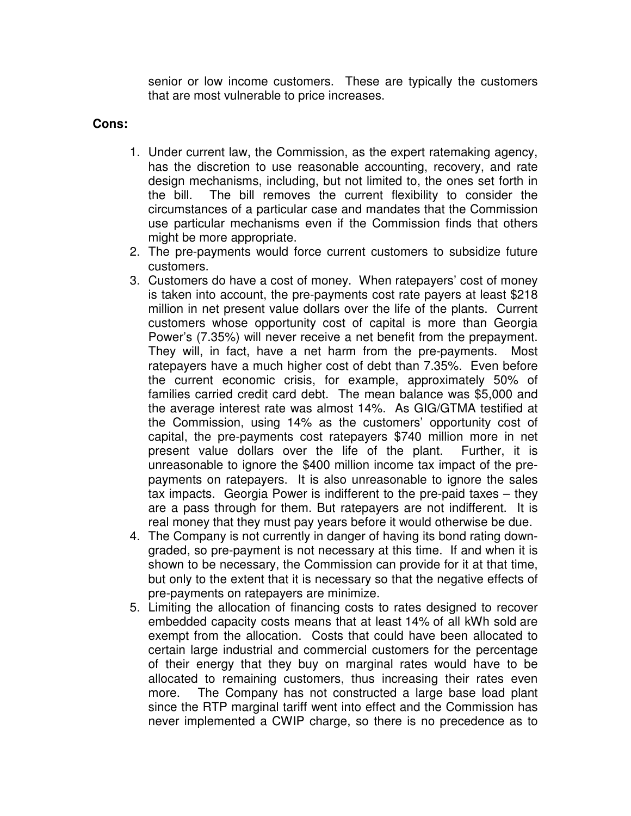senior or low income customers. These are typically the customers that are most vulnerable to price increases.

### **Cons:**

- 1. Under current law, the Commission, as the expert ratemaking agency, has the discretion to use reasonable accounting, recovery, and rate design mechanisms, including, but not limited to, the ones set forth in the bill. The bill removes the current flexibility to consider the circumstances of a particular case and mandates that the Commission use particular mechanisms even if the Commission finds that others might be more appropriate.
- 2. The pre-payments would force current customers to subsidize future customers.
- 3. Customers do have a cost of money. When ratepayers' cost of money is taken into account, the pre-payments cost rate payers at least \$218 million in net present value dollars over the life of the plants. Current customers whose opportunity cost of capital is more than Georgia Power's (7.35%) will never receive a net benefit from the prepayment. They will, in fact, have a net harm from the pre-payments. Most ratepayers have a much higher cost of debt than 7.35%. Even before the current economic crisis, for example, approximately 50% of families carried credit card debt. The mean balance was \$5,000 and the average interest rate was almost 14%. As GIG/GTMA testified at the Commission, using 14% as the customers' opportunity cost of capital, the pre-payments cost ratepayers \$740 million more in net present value dollars over the life of the plant. Further, it is unreasonable to ignore the \$400 million income tax impact of the prepayments on ratepayers. It is also unreasonable to ignore the sales tax impacts. Georgia Power is indifferent to the pre-paid taxes – they are a pass through for them. But ratepayers are not indifferent. It is real money that they must pay years before it would otherwise be due.
- 4. The Company is not currently in danger of having its bond rating downgraded, so pre-payment is not necessary at this time. If and when it is shown to be necessary, the Commission can provide for it at that time, but only to the extent that it is necessary so that the negative effects of pre-payments on ratepayers are minimize.
- 5. Limiting the allocation of financing costs to rates designed to recover embedded capacity costs means that at least 14% of all kWh sold are exempt from the allocation. Costs that could have been allocated to certain large industrial and commercial customers for the percentage of their energy that they buy on marginal rates would have to be allocated to remaining customers, thus increasing their rates even more. The Company has not constructed a large base load plant since the RTP marginal tariff went into effect and the Commission has never implemented a CWIP charge, so there is no precedence as to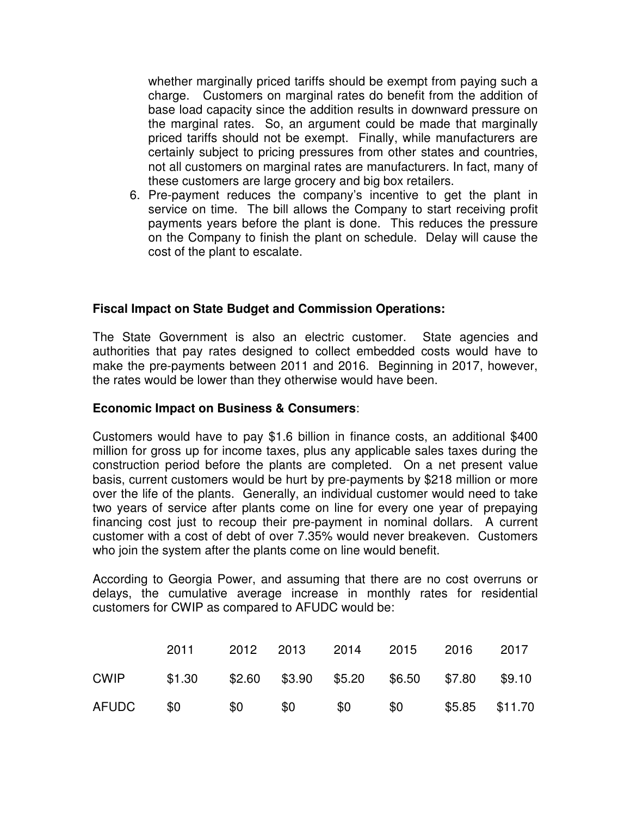whether marginally priced tariffs should be exempt from paying such a charge. Customers on marginal rates do benefit from the addition of base load capacity since the addition results in downward pressure on the marginal rates. So, an argument could be made that marginally priced tariffs should not be exempt. Finally, while manufacturers are certainly subject to pricing pressures from other states and countries, not all customers on marginal rates are manufacturers. In fact, many of these customers are large grocery and big box retailers.

6. Pre-payment reduces the company's incentive to get the plant in service on time. The bill allows the Company to start receiving profit payments years before the plant is done. This reduces the pressure on the Company to finish the plant on schedule. Delay will cause the cost of the plant to escalate.

#### **Fiscal Impact on State Budget and Commission Operations:**

The State Government is also an electric customer. State agencies and authorities that pay rates designed to collect embedded costs would have to make the pre-payments between 2011 and 2016. Beginning in 2017, however, the rates would be lower than they otherwise would have been.

#### **Economic Impact on Business & Consumers**:

Customers would have to pay \$1.6 billion in finance costs, an additional \$400 million for gross up for income taxes, plus any applicable sales taxes during the construction period before the plants are completed. On a net present value basis, current customers would be hurt by pre-payments by \$218 million or more over the life of the plants. Generally, an individual customer would need to take two years of service after plants come on line for every one year of prepaying financing cost just to recoup their pre-payment in nominal dollars. A current customer with a cost of debt of over 7.35% would never breakeven. Customers who join the system after the plants come on line would benefit.

According to Georgia Power, and assuming that there are no cost overruns or delays, the cumulative average increase in monthly rates for residential customers for CWIP as compared to AFUDC would be:

|               | 2011 —                                           |     |     | 2012 2013 2014 2015 2016 2017 |                  |
|---------------|--------------------------------------------------|-----|-----|-------------------------------|------------------|
| <b>CWIP</b>   | \$1.30 \$2.60 \$3.90 \$5.20 \$6.50 \$7.80 \$9.10 |     |     |                               |                  |
| AFUDC \$0 \$0 |                                                  | \$0 | \$0 | \$0                           | $$5.85$ $$11.70$ |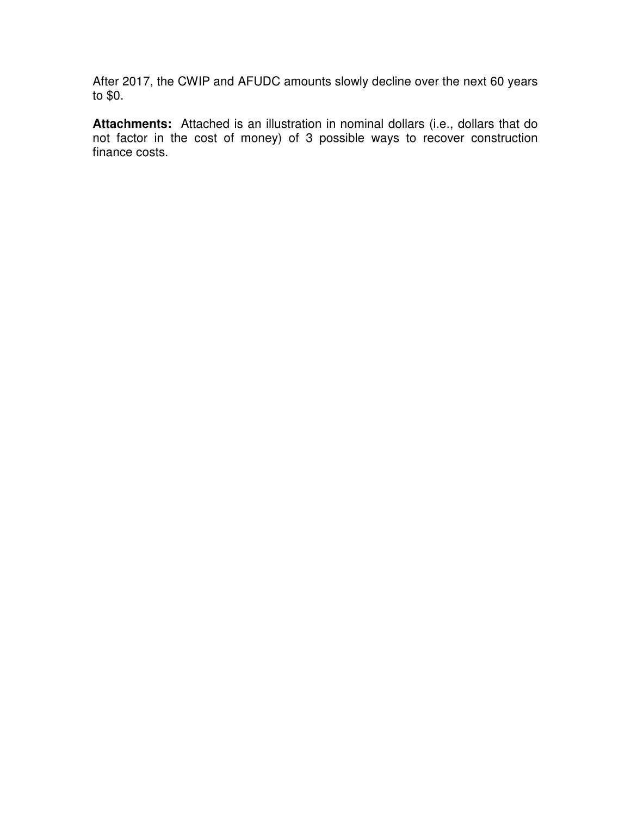After 2017, the CWIP and AFUDC amounts slowly decline over the next 60 years to \$0.

**Attachments:** Attached is an illustration in nominal dollars (i.e., dollars that do not factor in the cost of money) of 3 possible ways to recover construction finance costs.